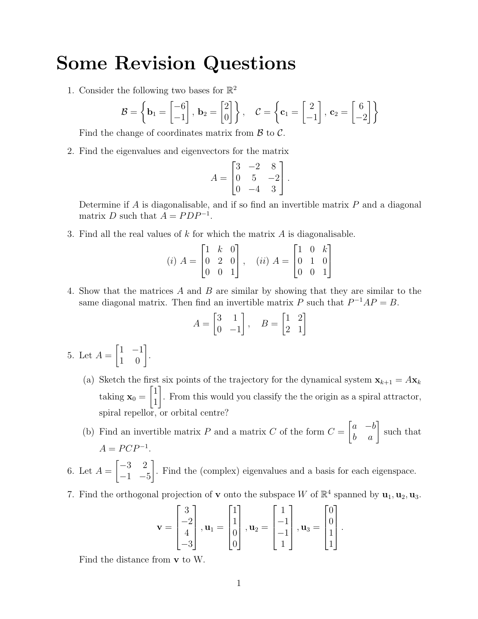## Some Revision Questions

1. Consider the following two bases for  $\mathbb{R}^2$ 

$$
\mathcal{B} = \left\{ \mathbf{b}_1 = \begin{bmatrix} -6 \\ -1 \end{bmatrix}, \ \mathbf{b}_2 = \begin{bmatrix} 2 \\ 0 \end{bmatrix} \right\}, \quad \mathcal{C} = \left\{ \mathbf{c}_1 = \begin{bmatrix} 2 \\ -1 \end{bmatrix}, \ \mathbf{c}_2 = \begin{bmatrix} 6 \\ -2 \end{bmatrix} \right\}
$$

Find the change of coordinates matrix from  $\beta$  to  $\beta$ .

2. Find the eigenvalues and eigenvectors for the matrix

$$
A = \begin{bmatrix} 3 & -2 & 8 \\ 0 & 5 & -2 \\ 0 & -4 & 3 \end{bmatrix}.
$$

Determine if  $A$  is diagonalisable, and if so find an invertible matrix  $P$  and a diagonal matrix D such that  $A = PDP^{-1}$ .

3. Find all the real values of k for which the matrix A is diagonalisable.

$$
(i) A = \begin{bmatrix} 1 & k & 0 \\ 0 & 2 & 0 \\ 0 & 0 & 1 \end{bmatrix}, (ii) A = \begin{bmatrix} 1 & 0 & k \\ 0 & 1 & 0 \\ 0 & 0 & 1 \end{bmatrix}
$$

4. Show that the matrices A and B are similar by showing that they are similar to the same diagonal matrix. Then find an invertible matrix P such that  $P^{-1}AP = B$ .

$$
A = \begin{bmatrix} 3 & 1 \\ 0 & -1 \end{bmatrix}, \quad B = \begin{bmatrix} 1 & 2 \\ 2 & 1 \end{bmatrix}
$$

- 5. Let  $A =$  $\begin{bmatrix} 1 & -1 \\ 1 & 0 \end{bmatrix}$ .
	- (a) Sketch the first six points of the trajectory for the dynamical system  $\mathbf{x}_{k+1} = A\mathbf{x}_k$ taking  $\mathbf{x}_0 =$  $\lceil 1 \rceil$ 1 1 . From this would you classify the the origin as a spiral attractor, spiral repellor, or orbital centre?
	- (b) Find an invertible matrix P and a matrix C of the form  $C =$  $\begin{bmatrix} a & -b \\ b & a \end{bmatrix}$  such that  $A = P C P^{-1}.$

6. Let  $A =$  $\begin{bmatrix} -3 & 2 \end{bmatrix}$  $-1$   $-5$ 1 . Find the (complex) eigenvalues and a basis for each eigenspace.

7. Find the orthogonal projection of **v** onto the subspace W of  $\mathbb{R}^4$  spanned by  $\mathbf{u}_1, \mathbf{u}_2, \mathbf{u}_3$ .

$$
\mathbf{v} = \begin{bmatrix} 3 \\ -2 \\ 4 \\ -3 \end{bmatrix}, \mathbf{u}_1 = \begin{bmatrix} 1 \\ 1 \\ 0 \\ 0 \end{bmatrix}, \mathbf{u}_2 = \begin{bmatrix} 1 \\ -1 \\ -1 \\ 1 \end{bmatrix}, \mathbf{u}_3 = \begin{bmatrix} 0 \\ 0 \\ 1 \\ 1 \end{bmatrix}
$$

.

Find the distance from v to W.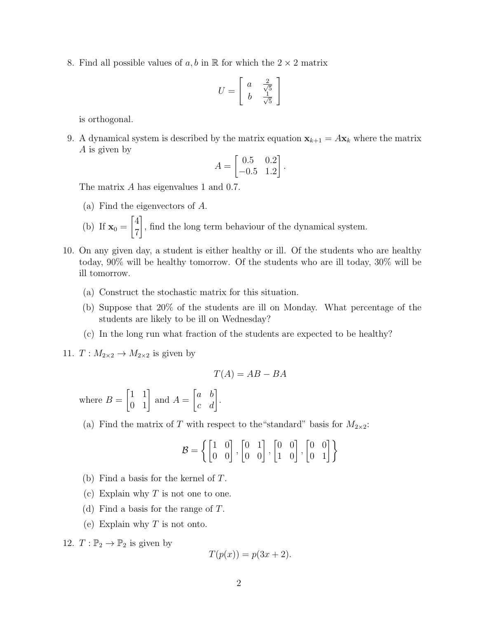8. Find all possible values of a, b in  $\mathbb R$  for which the  $2 \times 2$  matrix

$$
U = \left[ \begin{array}{cc} a & \frac{2}{\sqrt{5}} \\ b & \frac{1}{\sqrt{5}} \end{array} \right]
$$

is orthogonal.

9. A dynamical system is described by the matrix equation  $\mathbf{x}_{k+1} = A\mathbf{x}_k$  where the matrix A is given by

$$
A = \begin{bmatrix} 0.5 & 0.2 \\ -0.5 & 1.2 \end{bmatrix}.
$$

The matrix A has eigenvalues 1 and 0.7.

(a) Find the eigenvectors of A.

(b) If 
$$
\mathbf{x}_0 = \begin{bmatrix} 4 \\ 7 \end{bmatrix}
$$
, find the long term behaviour of the dynamical system.

- 10. On any given day, a student is either healthy or ill. Of the students who are healthy today, 90% will be healthy tomorrow. Of the students who are ill today, 30% will be ill tomorrow.
	- (a) Construct the stochastic matrix for this situation.
	- (b) Suppose that 20% of the students are ill on Monday. What percentage of the students are likely to be ill on Wednesday?
	- (c) In the long run what fraction of the students are expected to be healthy?
- 11.  $T: M_{2\times 2} \to M_{2\times 2}$  is given by

$$
T(A) = AB - BA
$$

where  $B =$  $\begin{bmatrix} 1 & 1 \\ 0 & 1 \end{bmatrix}$  and  $A =$  $\begin{bmatrix} a & b \\ c & d \end{bmatrix}$ .

(a) Find the matrix of  $T$  with respect to the "standard" basis for  $M_{2\times2}$ :

$$
\mathcal{B} = \left\{ \begin{bmatrix} 1 & 0 \\ 0 & 0 \end{bmatrix}, \begin{bmatrix} 0 & 1 \\ 0 & 0 \end{bmatrix}, \begin{bmatrix} 0 & 0 \\ 1 & 0 \end{bmatrix}, \begin{bmatrix} 0 & 0 \\ 0 & 1 \end{bmatrix} \right\}
$$

- (b) Find a basis for the kernel of T.
- (c) Explain why  $T$  is not one to one.
- (d) Find a basis for the range of T.
- (e) Explain why  $T$  is not onto.

12.  $T: \mathbb{P}_2 \to \mathbb{P}_2$  is given by

$$
T(p(x)) = p(3x + 2).
$$